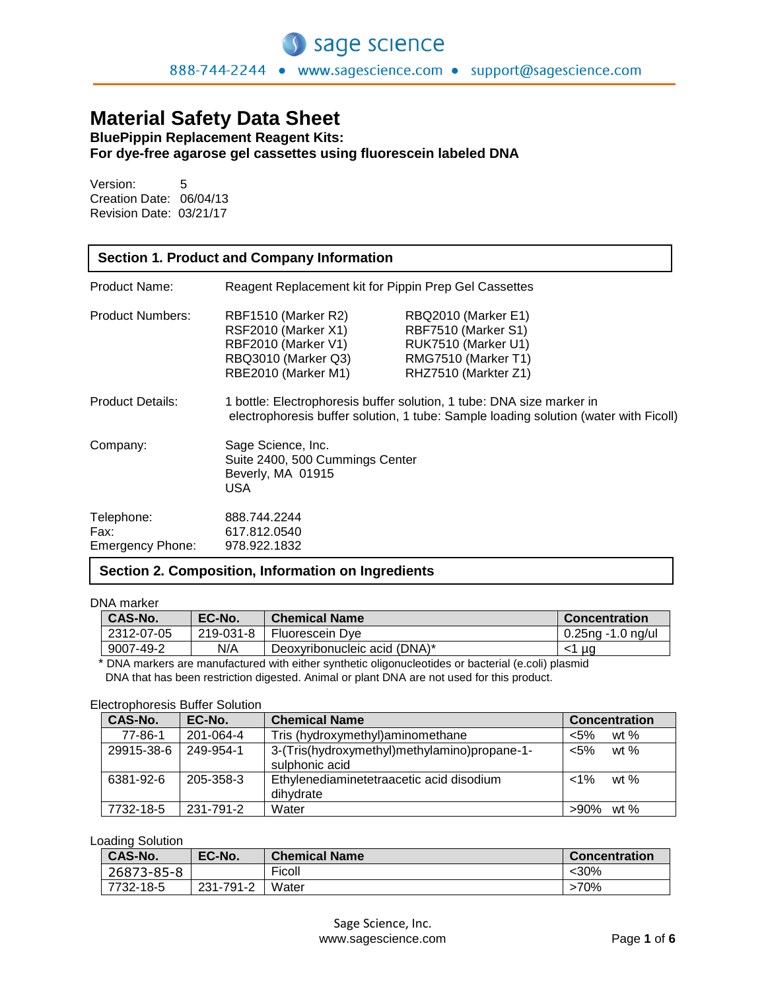# **Material Safety Data Sheet**

**BluePippin Replacement Reagent Kits: For dye-free agarose gel cassettes using fluorescein labeled DNA**

Version: 5 Creation Date: 06/04/13 Revision Date: 03/21/17

| <b>Section 1. Product and Company Information</b> |                                                                                                                                                               |                                                                                                                  |
|---------------------------------------------------|---------------------------------------------------------------------------------------------------------------------------------------------------------------|------------------------------------------------------------------------------------------------------------------|
| Product Name:                                     | Reagent Replacement kit for Pippin Prep Gel Cassettes                                                                                                         |                                                                                                                  |
| <b>Product Numbers:</b>                           | RBF1510 (Marker R2)<br>RSF2010 (Marker X1)<br>RBF2010 (Marker V1)<br>RBQ3010 (Marker Q3)<br>RBE2010 (Marker M1)                                               | RBQ2010 (Marker E1)<br>RBF7510 (Marker S1)<br>RUK7510 (Marker U1)<br>RMG7510 (Marker T1)<br>RHZ7510 (Markter Z1) |
| <b>Product Details:</b>                           | 1 bottle: Electrophoresis buffer solution, 1 tube: DNA size marker in<br>electrophoresis buffer solution, 1 tube: Sample loading solution (water with Ficoll) |                                                                                                                  |
| Company:                                          | Sage Science, Inc.<br>Suite 2400, 500 Cummings Center<br>Beverly, MA 01915<br>USA                                                                             |                                                                                                                  |
| Telephone:<br>Fax:<br>Emergency Phone:            | 888.744.2244<br>617.812.0540<br>978.922.1832                                                                                                                  |                                                                                                                  |

# **Section 2. Composition, Information on Ingredients**

DNA marker

| <b>CAS-No.</b> | EC-No.    | <b>Chemical Name</b>         | <b>Concentration</b> |
|----------------|-----------|------------------------------|----------------------|
| 2312-07-05     | 219-031-8 | Fluorescein Dve              | 0.25ng -1.0 ng/ul    |
| 9007-49-2      | N/A       | Deoxyribonucleic acid (DNA)* | ≺1 µa                |

 \* DNA markers are manufactured with either synthetic oligonucleotides or bacterial (e.coli) plasmid DNA that has been restriction digested. Animal or plant DNA are not used for this product.

### Electrophoresis Buffer Solution

| CAS-No.    | EC-No.    | <b>Chemical Name</b>                         | <b>Concentration</b> |
|------------|-----------|----------------------------------------------|----------------------|
| 77-86-1    | 201-064-4 | Tris (hydroxymethyl) aminomethane            | wt $%$<br>$< 5\%$    |
| 29915-38-6 | 249-954-1 | 3-(Tris(hydroxymethyl)methylamino)propane-1- | $< 5\%$<br>wt $%$    |
|            |           | sulphonic acid                               |                      |
| 6381-92-6  | 205-358-3 | Ethylenediaminetetraacetic acid disodium     | $< 1\%$<br>wt $%$    |
|            |           | dihydrate                                    |                      |
| 7732-18-5  | 231-791-2 | Water                                        | $>90\%$ wt %         |

# Loading Solution

| <b>CAS-No.</b> | EC-No.    | <b>Chemical Name</b> | <b>Concentration</b> |
|----------------|-----------|----------------------|----------------------|
| 26873-85-8     |           | Ficoll               | $30%$                |
| 7732-18-5      | 231-791-2 | Water                | $>70\%$              |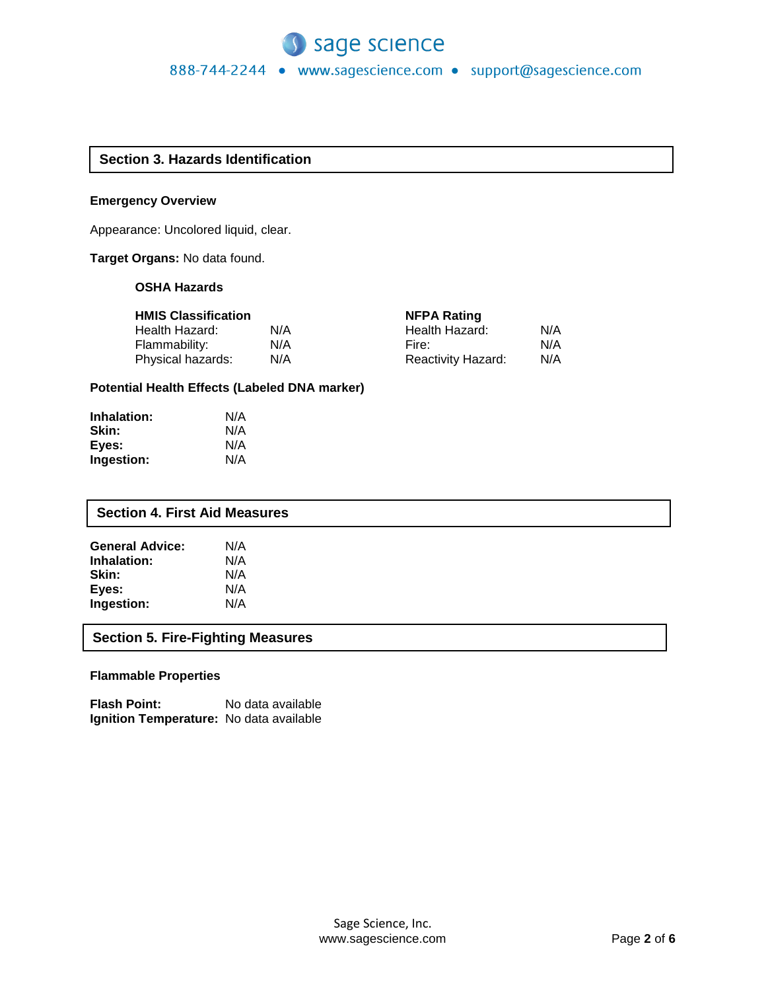# **Section 3. Hazards Identification**

### **Emergency Overview**

Appearance: Uncolored liquid, clear.

# **Target Organs:** No data found.

### **OSHA Hazards**

| <b>HMIS Classification</b> |     | <b>NFPA Rating</b>        |     |
|----------------------------|-----|---------------------------|-----|
| Health Hazard:             | N/A | Health Hazard:            | N/A |
| Flammability:              | N/A | Fire:                     | N/A |
| Physical hazards:          | N/A | <b>Reactivity Hazard:</b> | N/A |

### **Potential Health Effects (Labeled DNA marker)**

| Inhalation: | N/A |
|-------------|-----|
| Skin:       | N/A |
| Eyes:       | N/A |
| Ingestion:  | N/A |

# **Section 4. First Aid Measures**

| <b>General Advice:</b> | N/A |
|------------------------|-----|
| Inhalation:            | N/A |
| Skin:                  | N/A |
| Eyes:                  | N/A |
| Ingestion:             | N/A |

# **Section 5. Fire-Fighting Measures**

# **Flammable Properties**

**Flash Point:** No data available **Ignition Temperature:** No data available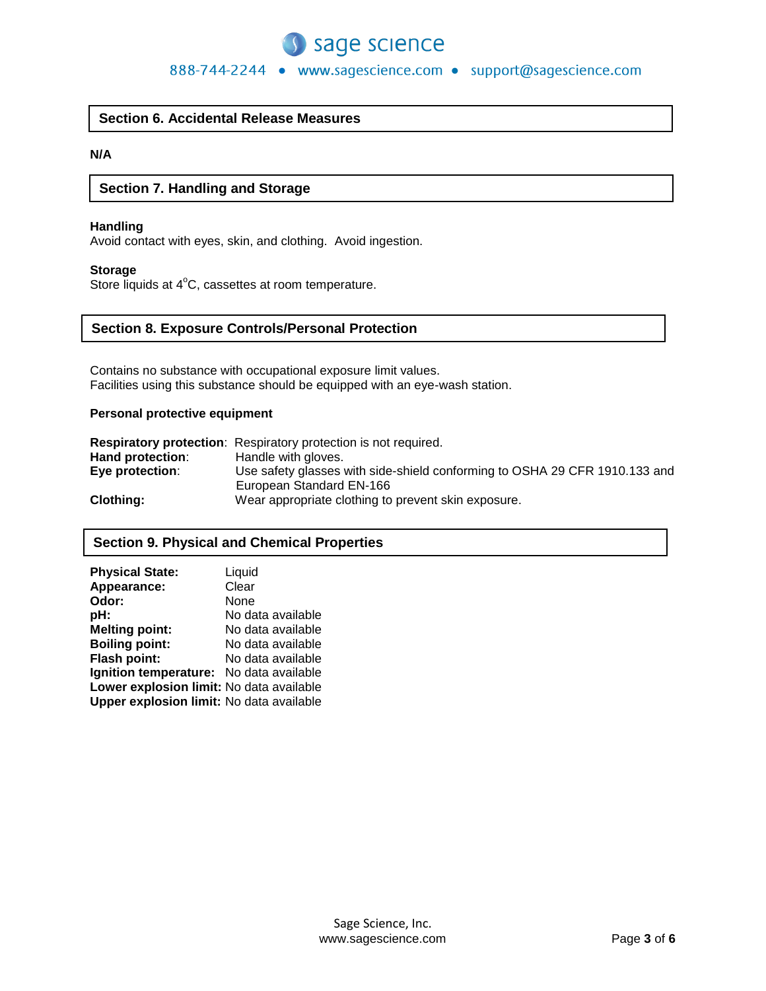

888-744-2244 • www.sagescience.com • support@sagescience.com

# **Section 6. Accidental Release Measures**

# **N/A**

# **Section 7. Handling and Storage**

### **Handling**

Avoid contact with eyes, skin, and clothing. Avoid ingestion.

#### **Storage**

Store liquids at  $4^{\circ}$ C, cassettes at room temperature.

### **Section 8. Exposure Controls/Personal Protection**

Contains no substance with occupational exposure limit values. Facilities using this substance should be equipped with an eye-wash station.

### **Personal protective equipment**

|                  | <b>Respiratory protection:</b> Respiratory protection is not required.     |
|------------------|----------------------------------------------------------------------------|
| Hand protection: | Handle with gloves.                                                        |
| Eye protection:  | Use safety glasses with side-shield conforming to OSHA 29 CFR 1910.133 and |
|                  | European Standard EN-166                                                   |
| Clothing:        | Wear appropriate clothing to prevent skin exposure.                        |

# **Section 9. Physical and Chemical Properties**

| <b>Physical State:</b>                   | Liquid            |
|------------------------------------------|-------------------|
| Appearance:                              | Clear             |
| Odor:                                    | None              |
| pH:                                      | No data available |
| <b>Melting point:</b>                    | No data available |
| <b>Boiling point:</b>                    | No data available |
| Flash point:                             | No data available |
| Ignition temperature: No data available  |                   |
| Lower explosion limit: No data available |                   |
| Upper explosion limit: No data available |                   |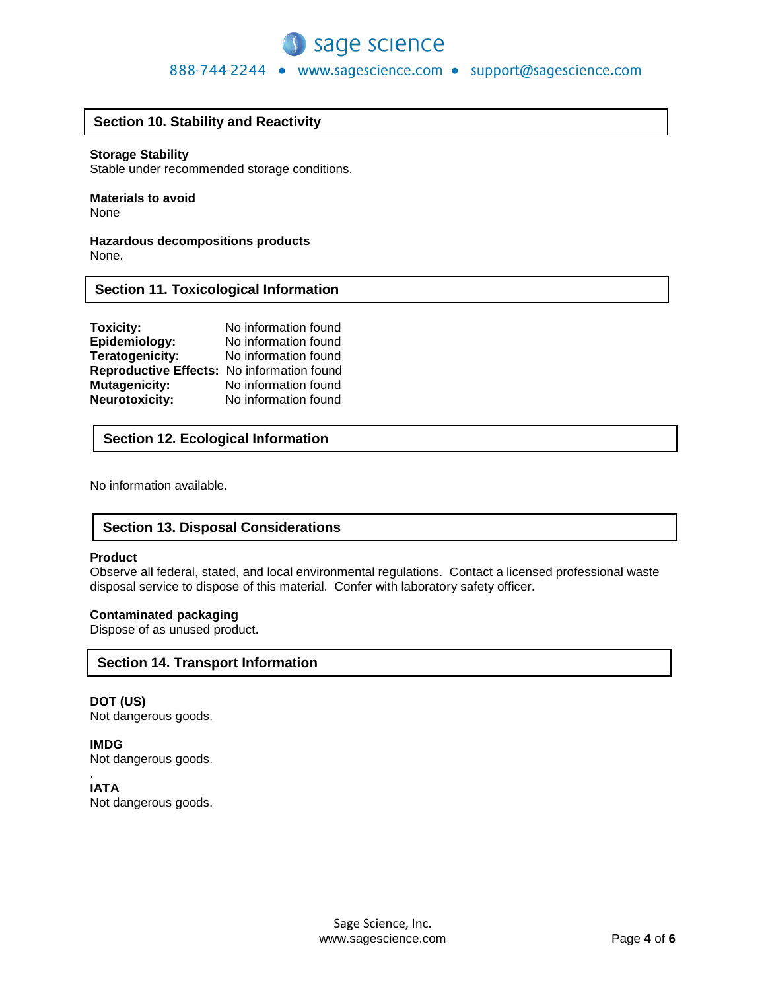

# 888-744-2244 · www.sagescience.com · support@sagescience.com

# **Section 10. Stability and Reactivity**

#### **Storage Stability**

Stable under recommended storage conditions.

#### **Materials to avoid** None

**Hazardous decompositions products** None.

# **Section 11. Toxicological Information**

| Toxicity:                                  | No information found |
|--------------------------------------------|----------------------|
| Epidemiology:                              | No information found |
| Teratogenicity:                            | No information found |
| Reproductive Effects: No information found |                      |
| <b>Mutagenicity:</b>                       | No information found |
| <b>Neurotoxicity:</b>                      | No information found |

# **Section 12. Ecological Information**

No information available.

# **Section 13. Disposal Considerations**

#### **Product**

Observe all federal, stated, and local environmental regulations. Contact a licensed professional waste disposal service to dispose of this material. Confer with laboratory safety officer.

#### **Contaminated packaging**

Dispose of as unused product.

# **Section 14. Transport Information**

**DOT (US)** Not dangerous goods.

**IMDG** Not dangerous goods.

. **IATA** Not dangerous goods.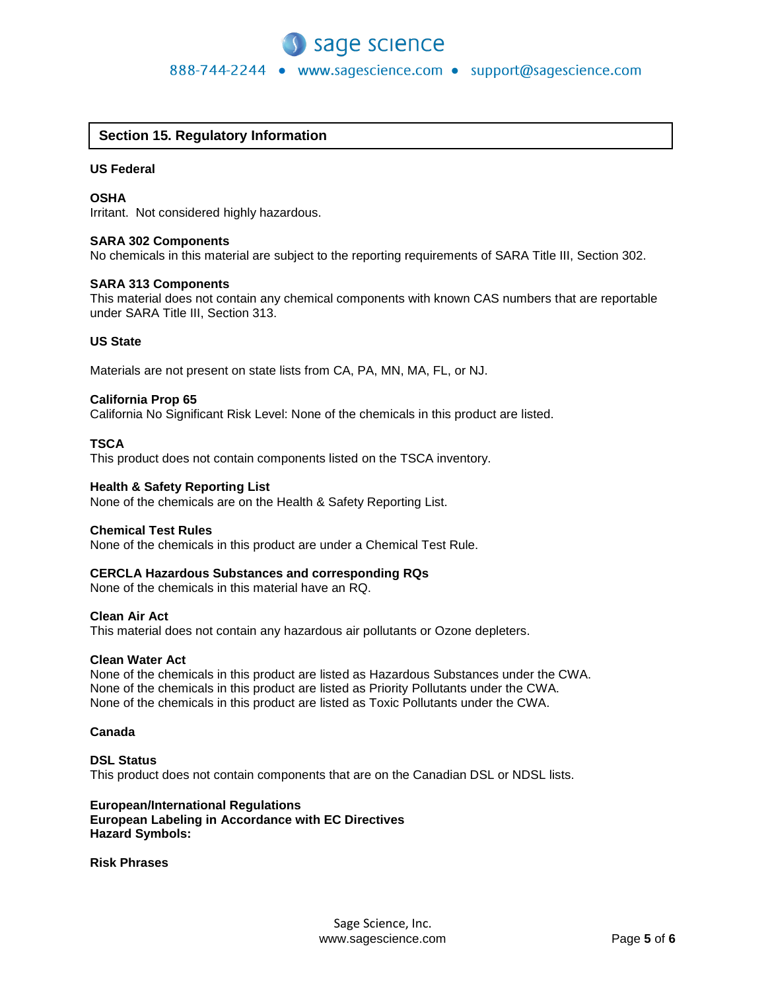

# **Section 15. Regulatory Information**

#### **US Federal**

#### **OSHA**

Irritant. Not considered highly hazardous.

#### **SARA 302 Components**

No chemicals in this material are subject to the reporting requirements of SARA Title III, Section 302.

#### **SARA 313 Components**

This material does not contain any chemical components with known CAS numbers that are reportable under SARA Title III, Section 313.

#### **US State**

Materials are not present on state lists from CA, PA, MN, MA, FL, or NJ.

#### **California Prop 65**

California No Significant Risk Level: None of the chemicals in this product are listed.

#### **TSCA**

This product does not contain components listed on the TSCA inventory.

#### **Health & Safety Reporting List**

None of the chemicals are on the Health & Safety Reporting List.

#### **Chemical Test Rules**

None of the chemicals in this product are under a Chemical Test Rule.

#### **CERCLA Hazardous Substances and corresponding RQs**

None of the chemicals in this material have an RQ.

#### **Clean Air Act**

This material does not contain any hazardous air pollutants or Ozone depleters.

#### **Clean Water Act**

None of the chemicals in this product are listed as Hazardous Substances under the CWA. None of the chemicals in this product are listed as Priority Pollutants under the CWA. None of the chemicals in this product are listed as Toxic Pollutants under the CWA.

#### **Canada**

### **DSL Status** This product does not contain components that are on the Canadian DSL or NDSL lists.

#### **European/International Regulations European Labeling in Accordance with EC Directives Hazard Symbols:**

#### **Risk Phrases**